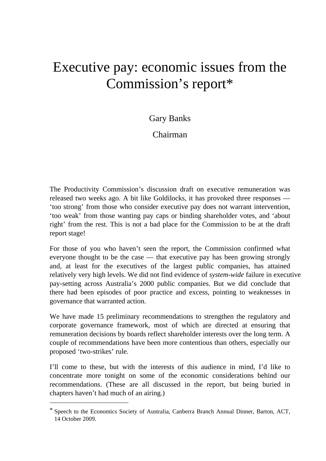# Executive pay: economic issues from the Commission's report\*

## Gary Banks

# Chairman

The Productivity Commission's discussion draft on executive remuneration was released two weeks ago. A bit like Goldilocks, it has provoked three responses — 'too strong' from those who consider executive pay does not warrant intervention, 'too weak' from those wanting pay caps or binding shareholder votes, and 'about right' from the rest. This is not a bad place for the Commission to be at the draft report stage!

For those of you who haven't seen the report, the Commission confirmed what everyone thought to be the case — that executive pay has been growing strongly and, at least for the executives of the largest public companies, has attained relatively very high levels. We did not find evidence of *system-wide* failure in executive pay-setting across Australia's 2000 public companies. But we did conclude that there had been episodes of poor practice and excess, pointing to weaknesses in governance that warranted action.

We have made 15 preliminary recommendations to strengthen the regulatory and corporate governance framework, most of which are directed at ensuring that remuneration decisions by boards reflect shareholder interests over the long term. A couple of recommendations have been more contentious than others, especially our proposed 'two-strikes' rule.

I'll come to these, but with the interests of this audience in mind, I'd like to concentrate more tonight on some of the economic considerations behind our recommendations. (These are all discussed in the report, but being buried in chapters haven't had much of an airing.)

1

<sup>\*</sup> Speech to the Economics Society of Australia, Canberra Branch Annual Dinner, Barton, ACT, 14 October 2009.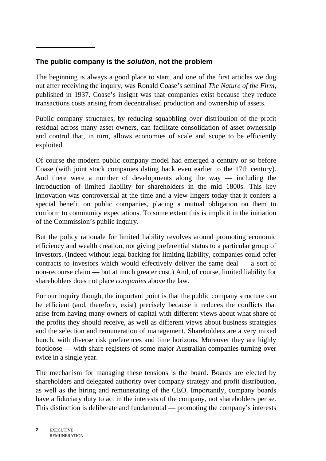## **The public company is the** *solution***, not the problem**

The beginning is always a good place to start, and one of the first articles we dug out after receiving the inquiry, was Ronald Coase's seminal *The Nature of the Firm*, published in 1937. Coase's insight was that companies exist because they reduce transactions costs arising from decentralised production and ownership of assets.

Public company structures, by reducing squabbling over distribution of the profit residual across many asset owners, can facilitate consolidation of asset ownership and control that, in turn, allows economies of scale and scope to be efficiently exploited.

Of course the modern public company model had emerged a century or so before Coase (with joint stock companies dating back even earlier to the 17th century). And there were a number of developments along the way — including the introduction of limited liability for shareholders in the mid 1800s. This key innovation was controversial at the time and a view lingers today that it confers a special benefit on public companies, placing a mutual obligation on them to conform to community expectations. To some extent this is implicit in the initiation of the Commission's public inquiry.

But the policy rationale for limited liability revolves around promoting economic efficiency and wealth creation, not giving preferential status to a particular group of investors. (Indeed without legal backing for limiting liability, companies could offer contracts to investors which would effectively deliver the same deal — a sort of non-recourse claim — but at much greater cost.) And, of course, limited liability for shareholders does not place *companies* above the law.

For our inquiry though, the important point is that the public company structure can be efficient (and, therefore, exist) precisely because it reduces the conflicts that arise from having many owners of capital with different views about what share of the profits they should receive, as well as different views about business strategies and the selection and remuneration of management. Shareholders are a very mixed bunch, with diverse risk preferences and time horizons. Moreover they are highly footloose — with share registers of some major Australian companies turning over twice in a single year.

The mechanism for managing these tensions is the board. Boards are elected by shareholders and delegated authority over company strategy and profit distribution, as well as the hiring and remunerating of the CEO. Importantly, company boards have a fiduciary duty to act in the interests of the company, not shareholders per se. This distinction is deliberate and fundamental — promoting the company's interests

**EXECUTIVE** REMUNERATION **2**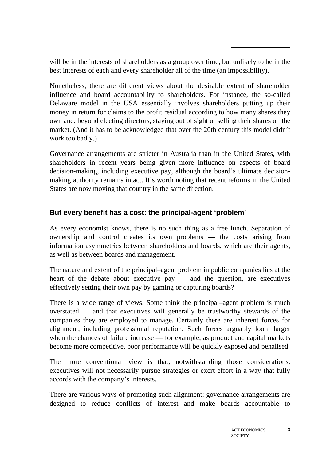will be in the interests of shareholders as a group over time, but unlikely to be in the best interests of each and every shareholder all of the time (an impossibility).

Nonetheless, there are different views about the desirable extent of shareholder influence and board accountability to shareholders. For instance, the so-called Delaware model in the USA essentially involves shareholders putting up their money in return for claims to the profit residual according to how many shares they own and, beyond electing directors, staying out of sight or selling their shares on the market. (And it has to be acknowledged that over the 20th century this model didn't work too badly.)

Governance arrangements are stricter in Australia than in the United States, with shareholders in recent years being given more influence on aspects of board decision-making, including executive pay, although the board's ultimate decisionmaking authority remains intact. It's worth noting that recent reforms in the United States are now moving that country in the same direction.

## **But every benefit has a cost: the principal-agent 'problem'**

As every economist knows, there is no such thing as a free lunch. Separation of ownership and control creates its own problems — the costs arising from information asymmetries between shareholders and boards, which are their agents, as well as between boards and management.

The nature and extent of the principal–agent problem in public companies lies at the heart of the debate about executive pay  $-$  and the question, are executives effectively setting their own pay by gaming or capturing boards?

There is a wide range of views. Some think the principal–agent problem is much overstated — and that executives will generally be trustworthy stewards of the companies they are employed to manage. Certainly there are inherent forces for alignment, including professional reputation. Such forces arguably loom larger when the chances of failure increase — for example, as product and capital markets become more competitive, poor performance will be quickly exposed and penalised.

The more conventional view is that, notwithstanding those considerations, executives will not necessarily pursue strategies or exert effort in a way that fully accords with the company's interests.

There are various ways of promoting such alignment: governance arrangements are designed to reduce conflicts of interest and make boards accountable to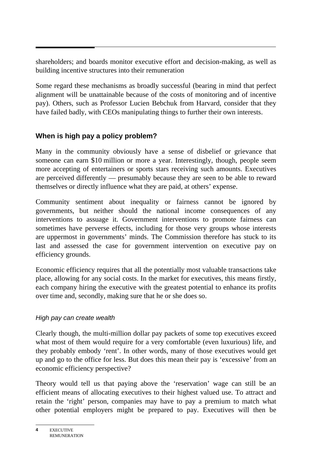shareholders; and boards monitor executive effort and decision-making, as well as building incentive structures into their remuneration

Some regard these mechanisms as broadly successful (bearing in mind that perfect alignment will be unattainable because of the costs of monitoring and of incentive pay). Others, such as Professor Lucien Bebchuk from Harvard, consider that they have failed badly, with CEOs manipulating things to further their own interests.

## **When is high pay a policy problem?**

Many in the community obviously have a sense of disbelief or grievance that someone can earn \$10 million or more a year. Interestingly, though, people seem more accepting of entertainers or sports stars receiving such amounts. Executives are perceived differently — presumably because they are seen to be able to reward themselves or directly influence what they are paid, at others' expense.

Community sentiment about inequality or fairness cannot be ignored by governments, but neither should the national income consequences of any interventions to assuage it. Government interventions to promote fairness can sometimes have perverse effects, including for those very groups whose interests are uppermost in governments' minds. The Commission therefore has stuck to its last and assessed the case for government intervention on executive pay on efficiency grounds.

Economic efficiency requires that all the potentially most valuable transactions take place, allowing for any social costs. In the market for executives, this means firstly, each company hiring the executive with the greatest potential to enhance its profits over time and, secondly, making sure that he or she does so.

## *High pay can create wealth*

Clearly though, the multi-million dollar pay packets of some top executives exceed what most of them would require for a very comfortable (even luxurious) life, and they probably embody 'rent'. In other words, many of those executives would get up and go to the office for less. But does this mean their pay is 'excessive' from an economic efficiency perspective?

Theory would tell us that paying above the 'reservation' wage can still be an efficient means of allocating executives to their highest valued use. To attract and retain the 'right' person, companies may have to pay a premium to match what other potential employers might be prepared to pay. Executives will then be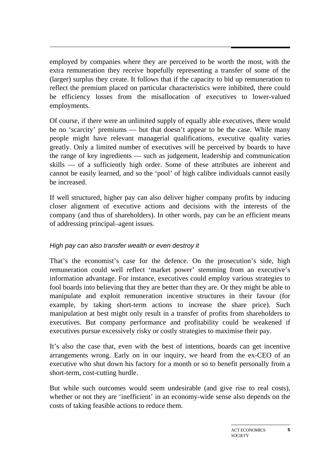employed by companies where they are perceived to be worth the most, with the extra remuneration they receive hopefully representing a transfer of some of the (larger) surplus they create. It follows that if the capacity to bid up remuneration to reflect the premium placed on particular characteristics were inhibited, there could be efficiency losses from the misallocation of executives to lower-valued employments.

Of course, if there were an unlimited supply of equally able executives, there would be no 'scarcity' premiums — but that doesn't appear to be the case. While many people might have relevant managerial qualifications, executive quality varies greatly. Only a limited number of executives will be perceived by boards to have the range of key ingredients — such as judgement, leadership and communication skills — of a sufficiently high order. Some of these attributes are inherent and cannot be easily learned, and so the 'pool' of high calibre individuals cannot easily be increased.

If well structured, higher pay can also deliver higher company profits by inducing closer alignment of executive actions and decisions with the interests of the company (and thus of shareholders). In other words, pay can be an efficient means of addressing principal–agent issues.

## *High pay can also transfer wealth or even destroy it*

That's the economist's case for the defence. On the prosecution's side, high remuneration could well reflect 'market power' stemming from an executive's information advantage. For instance, executives could employ various strategies to fool boards into believing that they are better than they are. Or they might be able to manipulate and exploit remuneration incentive structures in their favour (for example, by taking short-term actions to increase the share price). Such manipulation at best might only result in a transfer of profits from shareholders to executives. But company performance and profitability could be weakened if executives pursue excessively risky or costly strategies to maximise their pay.

It's also the case that, even with the best of intentions, boards can get incentive arrangements wrong. Early on in our inquiry, we heard from the ex-CEO of an executive who shut down his factory for a month or so to benefit personally from a short-term, cost-cutting hurdle.

But while such outcomes would seem undesirable (and give rise to real costs), whether or not they are 'inefficient' in an economy-wide sense also depends on the costs of taking feasible actions to reduce them.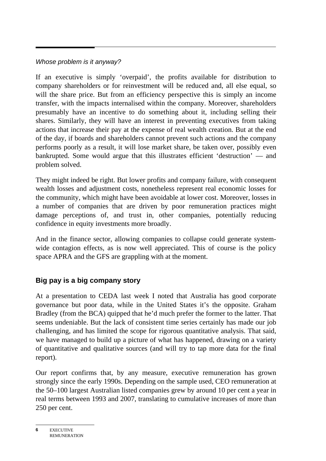## *Whose problem is it anyway?*

If an executive is simply 'overpaid', the profits available for distribution to company shareholders or for reinvestment will be reduced and, all else equal, so will the share price. But from an efficiency perspective this is simply an income transfer, with the impacts internalised within the company. Moreover, shareholders presumably have an incentive to do something about it, including selling their shares. Similarly, they will have an interest in preventing executives from taking actions that increase their pay at the expense of real wealth creation. But at the end of the day, if boards and shareholders cannot prevent such actions and the company performs poorly as a result, it will lose market share, be taken over, possibly even bankrupted. Some would argue that this illustrates efficient 'destruction' — and problem solved.

They might indeed be right. But lower profits and company failure, with consequent wealth losses and adjustment costs, nonetheless represent real economic losses for the community, which might have been avoidable at lower cost. Moreover, losses in a number of companies that are driven by poor remuneration practices might damage perceptions of, and trust in, other companies, potentially reducing confidence in equity investments more broadly.

And in the finance sector, allowing companies to collapse could generate systemwide contagion effects, as is now well appreciated. This of course is the policy space APRA and the GFS are grappling with at the moment.

## **Big pay is a big company story**

At a presentation to CEDA last week I noted that Australia has good corporate governance but poor data, while in the United States it's the opposite. Graham Bradley (from the BCA) quipped that he'd much prefer the former to the latter. That seems undeniable. But the lack of consistent time series certainly has made our job challenging, and has limited the scope for rigorous quantitative analysis. That said, we have managed to build up a picture of what has happened, drawing on a variety of quantitative and qualitative sources (and will try to tap more data for the final report).

Our report confirms that, by any measure, executive remuneration has grown strongly since the early 1990s. Depending on the sample used, CEO remuneration at the 50–100 largest Australian listed companies grew by around 10 per cent a year in real terms between 1993 and 2007, translating to cumulative increases of more than 250 per cent.

EXECUTIVE REMUNERATION **6**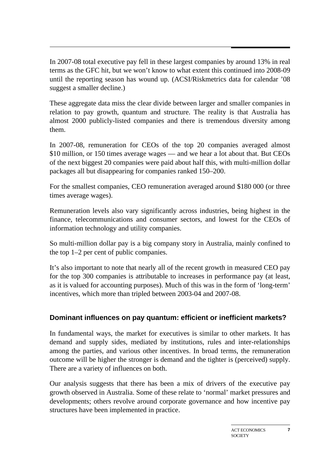In 2007-08 total executive pay fell in these largest companies by around 13% in real terms as the GFC hit, but we won't know to what extent this continued into 2008-09 until the reporting season has wound up. (ACSI/Riskmetrics data for calendar '08 suggest a smaller decline.)

These aggregate data miss the clear divide between larger and smaller companies in relation to pay growth, quantum and structure. The reality is that Australia has almost 2000 publicly-listed companies and there is tremendous diversity among them.

In 2007-08, remuneration for CEOs of the top 20 companies averaged almost \$10 million, or 150 times average wages — and we hear a lot about that. But CEOs of the next biggest 20 companies were paid about half this, with multi-million dollar packages all but disappearing for companies ranked 150–200.

For the smallest companies, CEO remuneration averaged around \$180 000 (or three times average wages).

Remuneration levels also vary significantly across industries, being highest in the finance, telecommunications and consumer sectors, and lowest for the CEOs of information technology and utility companies.

So multi-million dollar pay is a big company story in Australia, mainly confined to the top 1–2 per cent of public companies.

It's also important to note that nearly all of the recent growth in measured CEO pay for the top 300 companies is attributable to increases in performance pay (at least, as it is valued for accounting purposes). Much of this was in the form of 'long-term' incentives, which more than tripled between 2003-04 and 2007-08.

## **Dominant influences on pay quantum: efficient or inefficient markets?**

In fundamental ways, the market for executives is similar to other markets. It has demand and supply sides, mediated by institutions, rules and inter-relationships among the parties, and various other incentives. In broad terms, the remuneration outcome will be higher the stronger is demand and the tighter is (perceived) supply. There are a variety of influences on both.

Our analysis suggests that there has been a mix of drivers of the executive pay growth observed in Australia. Some of these relate to 'normal' market pressures and developments; others revolve around corporate governance and how incentive pay structures have been implemented in practice.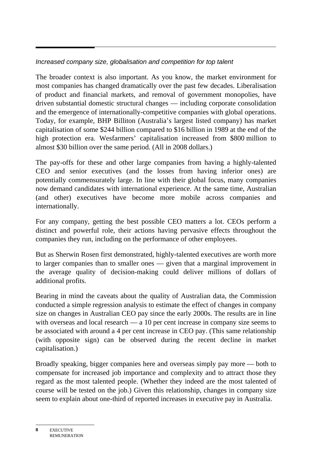## *Increased company size, globalisation and competition for top talent*

The broader context is also important. As you know, the market environment for most companies has changed dramatically over the past few decades. Liberalisation of product and financial markets, and removal of government monopolies, have driven substantial domestic structural changes — including corporate consolidation and the emergence of internationally-competitive companies with global operations. Today, for example, BHP Billiton (Australia's largest listed company) has market capitalisation of some \$244 billion compared to \$16 billion in 1989 at the end of the high protection era. Wesfarmers' capitalisation increased from \$800 million to almost \$30 billion over the same period. (All in 2008 dollars.)

The pay-offs for these and other large companies from having a highly-talented CEO and senior executives (and the losses from having inferior ones) are potentially commensurately large. In line with their global focus, many companies now demand candidates with international experience. At the same time, Australian (and other) executives have become more mobile across companies and internationally.

For any company, getting the best possible CEO matters a lot. CEOs perform a distinct and powerful role, their actions having pervasive effects throughout the companies they run, including on the performance of other employees.

But as Sherwin Rosen first demonstrated, highly-talented executives are worth more to larger companies than to smaller ones — given that a marginal improvement in the average quality of decision-making could deliver millions of dollars of additional profits.

Bearing in mind the caveats about the quality of Australian data, the Commission conducted a simple regression analysis to estimate the effect of changes in company size on changes in Australian CEO pay since the early 2000s. The results are in line with overseas and local research — a 10 per cent increase in company size seems to be associated with around a 4 per cent increase in CEO pay. (This same relationship (with opposite sign) can be observed during the recent decline in market capitalisation.)

Broadly speaking, bigger companies here and overseas simply pay more — both to compensate for increased job importance and complexity and to attract those they regard as the most talented people. (Whether they indeed are the most talented of course will be tested on the job.) Given this relationship, changes in company size seem to explain about one-third of reported increases in executive pay in Australia.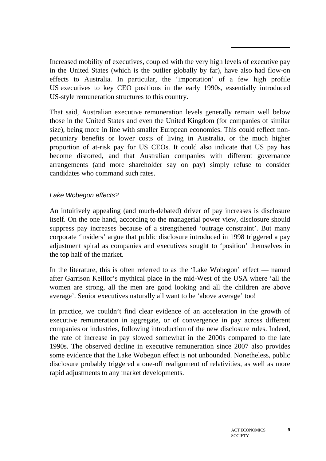Increased mobility of executives, coupled with the very high levels of executive pay in the United States (which is the outlier globally by far), have also had flow-on effects to Australia. In particular, the 'importation' of a few high profile US executives to key CEO positions in the early 1990s, essentially introduced US-style remuneration structures to this country.

That said, Australian executive remuneration levels generally remain well below those in the United States and even the United Kingdom (for companies of similar size), being more in line with smaller European economies. This could reflect nonpecuniary benefits or lower costs of living in Australia, or the much higher proportion of at-risk pay for US CEOs. It could also indicate that US pay has become distorted, and that Australian companies with different governance arrangements (and more shareholder say on pay) simply refuse to consider candidates who command such rates.

#### *Lake Wobegon effects?*

An intuitively appealing (and much-debated) driver of pay increases is disclosure itself. On the one hand, according to the managerial power view, disclosure should suppress pay increases because of a strengthened 'outrage constraint'. But many corporate 'insiders' argue that public disclosure introduced in 1998 triggered a pay adjustment spiral as companies and executives sought to 'position' themselves in the top half of the market.

In the literature, this is often referred to as the 'Lake Wobegon' effect — named after Garrison Keillor's mythical place in the mid-West of the USA where 'all the women are strong, all the men are good looking and all the children are above average'. Senior executives naturally all want to be 'above average' too!

In practice, we couldn't find clear evidence of an acceleration in the growth of executive remuneration in aggregate, or of convergence in pay across different companies or industries, following introduction of the new disclosure rules. Indeed, the rate of increase in pay slowed somewhat in the 2000s compared to the late 1990s. The observed decline in executive remuneration since 2007 also provides some evidence that the Lake Wobegon effect is not unbounded. Nonetheless, public disclosure probably triggered a one-off realignment of relativities, as well as more rapid adjustments to any market developments.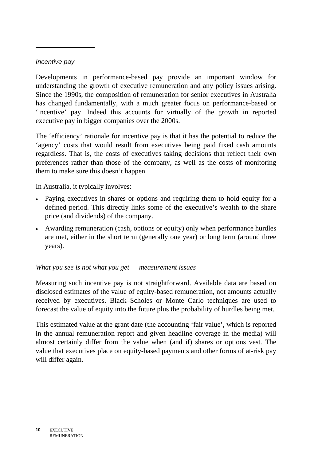#### *Incentive pay*

Developments in performance-based pay provide an important window for understanding the growth of executive remuneration and any policy issues arising. Since the 1990s, the composition of remuneration for senior executives in Australia has changed fundamentally, with a much greater focus on performance-based or 'incentive' pay. Indeed this accounts for virtually of the growth in reported executive pay in bigger companies over the 2000s.

The 'efficiency' rationale for incentive pay is that it has the potential to reduce the 'agency' costs that would result from executives being paid fixed cash amounts regardless. That is, the costs of executives taking decisions that reflect their own preferences rather than those of the company, as well as the costs of monitoring them to make sure this doesn't happen.

In Australia, it typically involves:

- Paying executives in shares or options and requiring them to hold equity for a defined period. This directly links some of the executive's wealth to the share price (and dividends) of the company.
- Awarding remuneration (cash, options or equity) only when performance hurdles are met, either in the short term (generally one year) or long term (around three years).

#### *What you see is not what you get — measurement issues*

Measuring such incentive pay is not straightforward. Available data are based on disclosed estimates of the value of equity-based remuneration, not amounts actually received by executives. Black–Scholes or Monte Carlo techniques are used to forecast the value of equity into the future plus the probability of hurdles being met.

This estimated value at the grant date (the accounting 'fair value', which is reported in the annual remuneration report and given headline coverage in the media) will almost certainly differ from the value when (and if) shares or options vest. The value that executives place on equity-based payments and other forms of at-risk pay will differ again.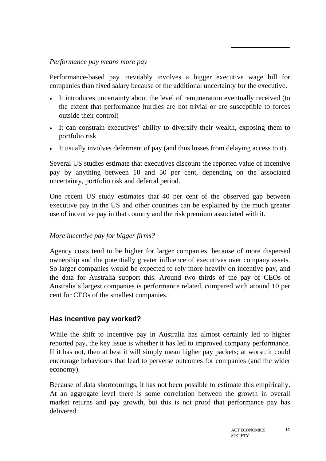#### *Performance pay means more pay*

Performance-based pay inevitably involves a bigger executive wage bill for companies than fixed salary because of the additional uncertainty for the executive.

- It introduces uncertainty about the level of remuneration eventually received (to the extent that performance hurdles are not trivial or are susceptible to forces outside their control)
- It can constrain executives' ability to diversify their wealth, exposing them to portfolio risk
- It usually involves deferment of pay (and thus losses from delaying access to it).

Several US studies estimate that executives discount the reported value of incentive pay by anything between 10 and 50 per cent, depending on the associated uncertainty, portfolio risk and deferral period.

One recent US study estimates that 40 per cent of the observed gap between executive pay in the US and other countries can be explained by the much greater use of incentive pay in that country and the risk premium associated with it.

## *More incentive pay for bigger firms?*

Agency costs tend to be higher for larger companies, because of more dispersed ownership and the potentially greater influence of executives over company assets. So larger companies would be expected to rely more heavily on incentive pay, and the data for Australia support this. Around two thirds of the pay of CEOs of Australia's largest companies is performance related, compared with around 10 per cent for CEOs of the smallest companies.

## **Has incentive pay worked?**

While the shift to incentive pay in Australia has almost certainly led to higher reported pay, the key issue is whether it has led to improved company performance. If it has not, then at best it will simply mean higher pay packets; at worst, it could encourage behaviours that lead to perverse outcomes for companies (and the wider economy).

Because of data shortcomings, it has not been possible to estimate this empirically. At an aggregate level there is some correlation between the growth in overall market returns and pay growth, but this is not proof that performance pay has delivered.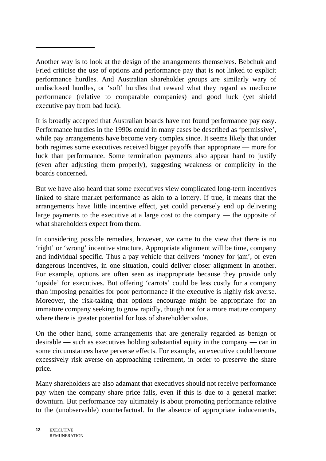Another way is to look at the design of the arrangements themselves. Bebchuk and Fried criticise the use of options and performance pay that is not linked to explicit performance hurdles. And Australian shareholder groups are similarly wary of undisclosed hurdles, or 'soft' hurdles that reward what they regard as mediocre performance (relative to comparable companies) and good luck (yet shield executive pay from bad luck).

It is broadly accepted that Australian boards have not found performance pay easy. Performance hurdles in the 1990s could in many cases be described as 'permissive', while pay arrangements have become very complex since. It seems likely that under both regimes some executives received bigger payoffs than appropriate — more for luck than performance. Some termination payments also appear hard to justify (even after adjusting them properly), suggesting weakness or complicity in the boards concerned.

But we have also heard that some executives view complicated long-term incentives linked to share market performance as akin to a lottery. If true, it means that the arrangements have little incentive effect, yet could perversely end up delivering large payments to the executive at a large cost to the company — the opposite of what shareholders expect from them.

In considering possible remedies, however, we came to the view that there is no 'right' or 'wrong' incentive structure. Appropriate alignment will be time, company and individual specific. Thus a pay vehicle that delivers 'money for jam', or even dangerous incentives, in one situation, could deliver closer alignment in another. For example, options are often seen as inappropriate because they provide only 'upside' for executives. But offering 'carrots' could be less costly for a company than imposing penalties for poor performance if the executive is highly risk averse. Moreover, the risk-taking that options encourage might be appropriate for an immature company seeking to grow rapidly, though not for a more mature company where there is greater potential for loss of shareholder value.

On the other hand, some arrangements that are generally regarded as benign or desirable — such as executives holding substantial equity in the company — can in some circumstances have perverse effects. For example, an executive could become excessively risk averse on approaching retirement, in order to preserve the share price.

Many shareholders are also adamant that executives should not receive performance pay when the company share price falls, even if this is due to a general market downturn. But performance pay ultimately is about promoting performance relative to the (unobservable) counterfactual. In the absence of appropriate inducements,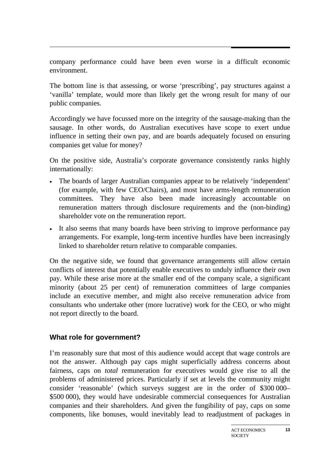company performance could have been even worse in a difficult economic environment.

The bottom line is that assessing, or worse 'prescribing', pay structures against a 'vanilla' template, would more than likely get the wrong result for many of our public companies.

Accordingly we have focussed more on the integrity of the sausage-making than the sausage. In other words, do Australian executives have scope to exert undue influence in setting their own pay, and are boards adequately focused on ensuring companies get value for money?

On the positive side, Australia's corporate governance consistently ranks highly internationally:

- The boards of larger Australian companies appear to be relatively 'independent' (for example, with few CEO/Chairs), and most have arms-length remuneration committees. They have also been made increasingly accountable on remuneration matters through disclosure requirements and the (non-binding) shareholder vote on the remuneration report.
- It also seems that many boards have been striving to improve performance pay arrangements. For example, long-term incentive hurdles have been increasingly linked to shareholder return relative to comparable companies.

On the negative side, we found that governance arrangements still allow certain conflicts of interest that potentially enable executives to unduly influence their own pay. While these arise more at the smaller end of the company scale, a significant minority (about 25 per cent) of remuneration committees of large companies include an executive member, and might also receive remuneration advice from consultants who undertake other (more lucrative) work for the CEO, or who might not report directly to the board.

## **What role for government?**

I'm reasonably sure that most of this audience would accept that wage controls are not the answer. Although pay caps might superficially address concerns about fairness, caps on *total* remuneration for executives would give rise to all the problems of administered prices. Particularly if set at levels the community might consider 'reasonable' (which surveys suggest are in the order of \$300 000– \$500 000), they would have undesirable commercial consequences for Australian companies and their shareholders. And given the fungibility of pay, caps on some components, like bonuses, would inevitably lead to readjustment of packages in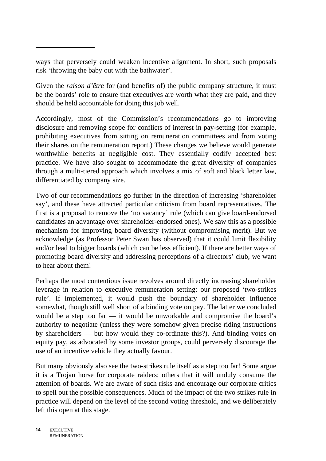ways that perversely could weaken incentive alignment. In short, such proposals risk 'throwing the baby out with the bathwater'.

Given the *raison d'être* for (and benefits of) the public company structure, it must be the boards' role to ensure that executives are worth what they are paid, and they should be held accountable for doing this job well.

Accordingly, most of the Commission's recommendations go to improving disclosure and removing scope for conflicts of interest in pay-setting (for example, prohibiting executives from sitting on remuneration committees and from voting their shares on the remuneration report.) These changes we believe would generate worthwhile benefits at negligible cost. They essentially codify accepted best practice. We have also sought to accommodate the great diversity of companies through a multi-tiered approach which involves a mix of soft and black letter law, differentiated by company size.

Two of our recommendations go further in the direction of increasing 'shareholder say', and these have attracted particular criticism from board representatives. The first is a proposal to remove the 'no vacancy' rule (which can give board-endorsed candidates an advantage over shareholder-endorsed ones). We saw this as a possible mechanism for improving board diversity (without compromising merit). But we acknowledge (as Professor Peter Swan has observed) that it could limit flexibility and/or lead to bigger boards (which can be less efficient). If there are better ways of promoting board diversity and addressing perceptions of a directors' club, we want to hear about them!

Perhaps the most contentious issue revolves around directly increasing shareholder leverage in relation to executive remuneration setting: our proposed 'two-strikes rule'. If implemented, it would push the boundary of shareholder influence somewhat, though still well short of a binding vote on pay. The latter we concluded would be a step too far — it would be unworkable and compromise the board's authority to negotiate (unless they were somehow given precise riding instructions by shareholders — but how would they co-ordinate this?). And binding votes on equity pay, as advocated by some investor groups, could perversely discourage the use of an incentive vehicle they actually favour.

But many obviously also see the two-strikes rule itself as a step too far! Some argue it is a Trojan horse for corporate raiders; others that it will unduly consume the attention of boards. We are aware of such risks and encourage our corporate critics to spell out the possible consequences. Much of the impact of the two strikes rule in practice will depend on the level of the second voting threshold, and we deliberately left this open at this stage.